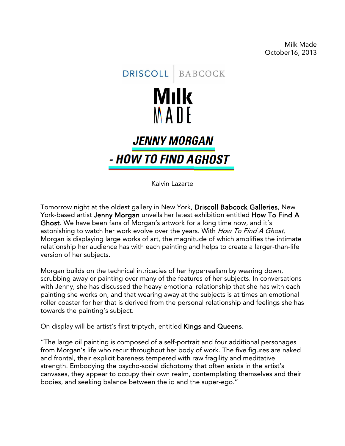Milk Made October16, 2013



Kalvin Lazarte

Tomorrow night at the oldest gallery in New York, Driscoll Babcock Galleries, New York-based artist Jenny Morgan unveils her latest exhibition entitled How To Find A Ghost. We have been fans of Morgan's artwork for a long time now, and it's astonishing to watch her work evolve over the years. With How To Find A Ghost, Morgan is displaying large works of art, the magnitude of which amplifies the intimate relationship her audience has with each painting and helps to create a larger-than-life version of her subjects.

Morgan builds on the technical intricacies of her hyperrealism by wearing down, scrubbing away or painting over many of the features of her subjects. In conversations with Jenny, she has discussed the heavy emotional relationship that she has with each painting she works on, and that wearing away at the subjects is at times an emotional roller coaster for her that is derived from the personal relationship and feelings she has towards the painting's subject.

On display will be artist's first triptych, entitled Kings and Queens.

"The large oil painting is composed of a self-portrait and four additional personages from Morgan's life who recur throughout her body of work. The five figures are naked and frontal, their explicit bareness tempered with raw fragility and meditative strength. Embodying the psycho-social dichotomy that often exists in the artist's canvases, they appear to occupy their own realm, contemplating themselves and their bodies, and seeking balance between the id and the super-ego."